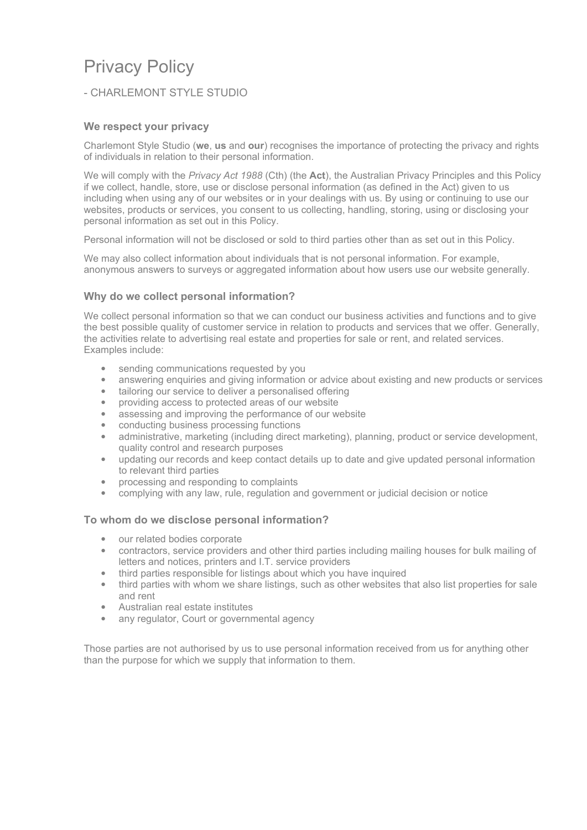# Privacy Policy

# - CHARLEMONT STYLE STUDIO

# **We respect your privacy**

Charlemont Style Studio (**we**, **us** and **our**) recognises the importance of protecting the privacy and rights of individuals in relation to their personal information.

We will comply with the *Privacy Act 1988* (Cth) (the **Act**), the Australian Privacy Principles and this Policy if we collect, handle, store, use or disclose personal information (as defined in the Act) given to us including when using any of our websites or in your dealings with us. By using or continuing to use our websites, products or services, you consent to us collecting, handling, storing, using or disclosing your personal information as set out in this Policy.

Personal information will not be disclosed or sold to third parties other than as set out in this Policy.

We may also collect information about individuals that is not personal information. For example, anonymous answers to surveys or aggregated information about how users use our website generally.

# **Why do we collect personal information?**

We collect personal information so that we can conduct our business activities and functions and to give the best possible quality of customer service in relation to products and services that we offer. Generally, the activities relate to advertising real estate and properties for sale or rent, and related services. Examples include:

- sending communications requested by you
- · answering enquiries and giving information or advice about existing and new products or services
- tailoring our service to deliver a personalised offering
- · providing access to protected areas of our website
- assessing and improving the performance of our website
- conducting business processing functions
- · administrative, marketing (including direct marketing), planning, product or service development, quality control and research purposes
- · updating our records and keep contact details up to date and give updated personal information to relevant third parties
- · processing and responding to complaints
- · complying with any law, rule, regulation and government or judicial decision or notice

#### **To whom do we disclose personal information?**

- · our related bodies corporate
- · contractors, service providers and other third parties including mailing houses for bulk mailing of letters and notices, printers and I.T. service providers
- third parties responsible for listings about which you have inquired
- third parties with whom we share listings, such as other websites that also list properties for sale and rent
- · Australian real estate institutes
- any regulator, Court or governmental agency

Those parties are not authorised by us to use personal information received from us for anything other than the purpose for which we supply that information to them.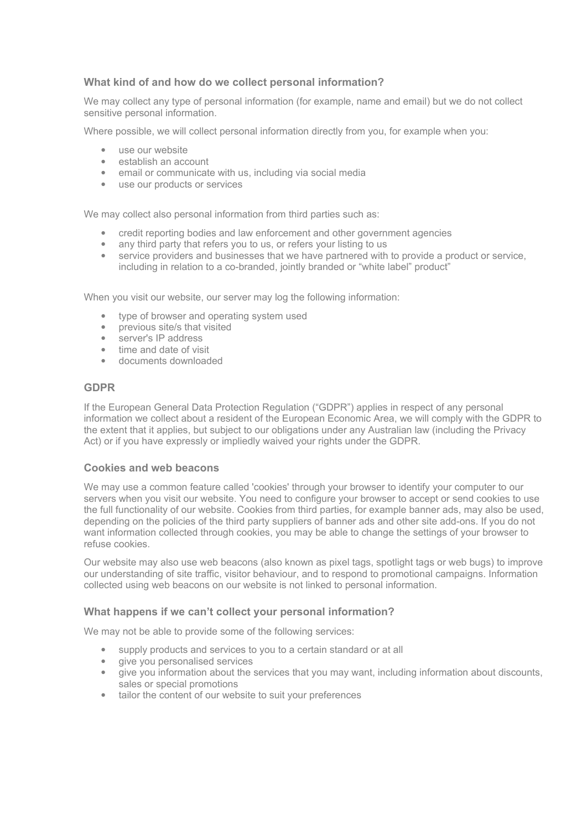# **What kind of and how do we collect personal information?**

We may collect any type of personal information (for example, name and email) but we do not collect sensitive personal information.

Where possible, we will collect personal information directly from you, for example when you:

- · use our website
- · establish an account
- email or communicate with us, including via social media
- · use our products or services

We may collect also personal information from third parties such as:

- · credit reporting bodies and law enforcement and other government agencies
- any third party that refers you to us, or refers your listing to us
- · service providers and businesses that we have partnered with to provide a product or service, including in relation to a co-branded, jointly branded or "white label" product"

When you visit our website, our server may log the following information:

- type of browser and operating system used
- · previous site/s that visited
- server's IP address
- time and date of visit
- · documents downloaded

#### **GDPR**

If the European General Data Protection Regulation ("GDPR") applies in respect of any personal information we collect about a resident of the European Economic Area, we will comply with the GDPR to the extent that it applies, but subject to our obligations under any Australian law (including the Privacy Act) or if you have expressly or impliedly waived your rights under the GDPR.

#### **Cookies and web beacons**

We may use a common feature called 'cookies' through your browser to identify your computer to our servers when you visit our website. You need to configure your browser to accept or send cookies to use the full functionality of our website. Cookies from third parties, for example banner ads, may also be used, depending on the policies of the third party suppliers of banner ads and other site add-ons. If you do not want information collected through cookies, you may be able to change the settings of your browser to refuse cookies.

Our website may also use web beacons (also known as pixel tags, spotlight tags or web bugs) to improve our understanding of site traffic, visitor behaviour, and to respond to promotional campaigns. Information collected using web beacons on our website is not linked to personal information.

#### **What happens if we can't collect your personal information?**

We may not be able to provide some of the following services:

- supply products and services to you to a certain standard or at all
- give you personalised services
- · give you information about the services that you may want, including information about discounts, sales or special promotions
- tailor the content of our website to suit your preferences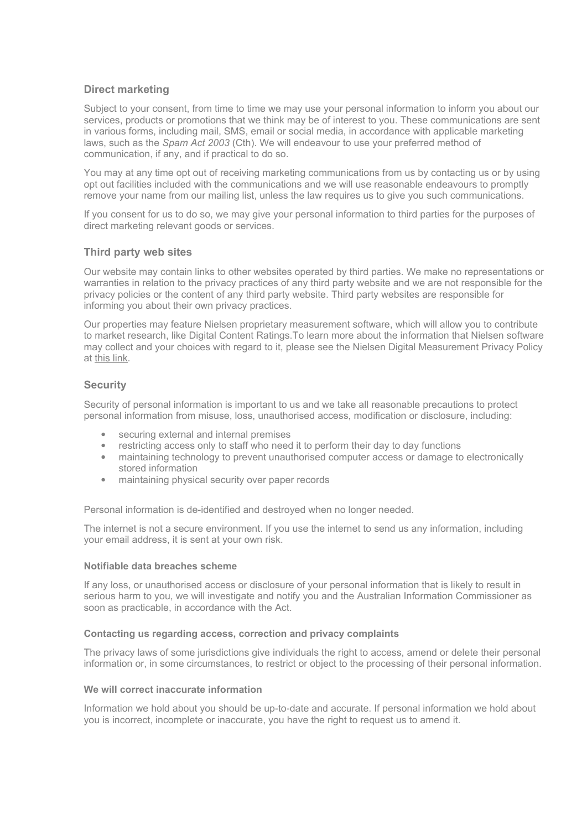# **Direct marketing**

Subject to your consent, from time to time we may use your personal information to inform you about our services, products or promotions that we think may be of interest to you. These communications are sent in various forms, including mail, SMS, email or social media, in accordance with applicable marketing laws, such as the *Spam Act 2003* (Cth). We will endeavour to use your preferred method of communication, if any, and if practical to do so.

You may at any time opt out of receiving marketing communications from us by contacting us or by using opt out facilities included with the communications and we will use reasonable endeavours to promptly remove your name from our mailing list, unless the law requires us to give you such communications.

If you consent for us to do so, we may give your personal information to third parties for the purposes of direct marketing relevant goods or services.

#### **Third party web sites**

Our website may contain links to other websites operated by third parties. We make no representations or warranties in relation to the privacy practices of any third party website and we are not responsible for the privacy policies or the content of any third party website. Third party websites are responsible for informing you about their own privacy practices.

Our properties may feature Nielsen proprietary measurement software, which will allow you to contribute to market research, like Digital Content Ratings.To learn more about the information that Nielsen software may collect and your choices with regard to it, please see the Nielsen Digital Measurement Privacy Policy at [this link.](https://priv-policy.imrworldwide.com/priv/browser/au/en/optout.html)

## **Security**

Security of personal information is important to us and we take all reasonable precautions to protect personal information from misuse, loss, unauthorised access, modification or disclosure, including:

- securing external and internal premises
- restricting access only to staff who need it to perform their day to day functions
- maintaining technology to prevent unauthorised computer access or damage to electronically stored information
- · maintaining physical security over paper records

Personal information is de-identified and destroyed when no longer needed.

The internet is not a secure environment. If you use the internet to send us any information, including your email address, it is sent at your own risk.

#### **Notifiable data breaches scheme**

If any loss, or unauthorised access or disclosure of your personal information that is likely to result in serious harm to you, we will investigate and notify you and the Australian Information Commissioner as soon as practicable, in accordance with the Act.

#### **Contacting us regarding access, correction and privacy complaints**

The privacy laws of some jurisdictions give individuals the right to access, amend or delete their personal information or, in some circumstances, to restrict or object to the processing of their personal information.

#### **We will correct inaccurate information**

Information we hold about you should be up-to-date and accurate. If personal information we hold about you is incorrect, incomplete or inaccurate, you have the right to request us to amend it.